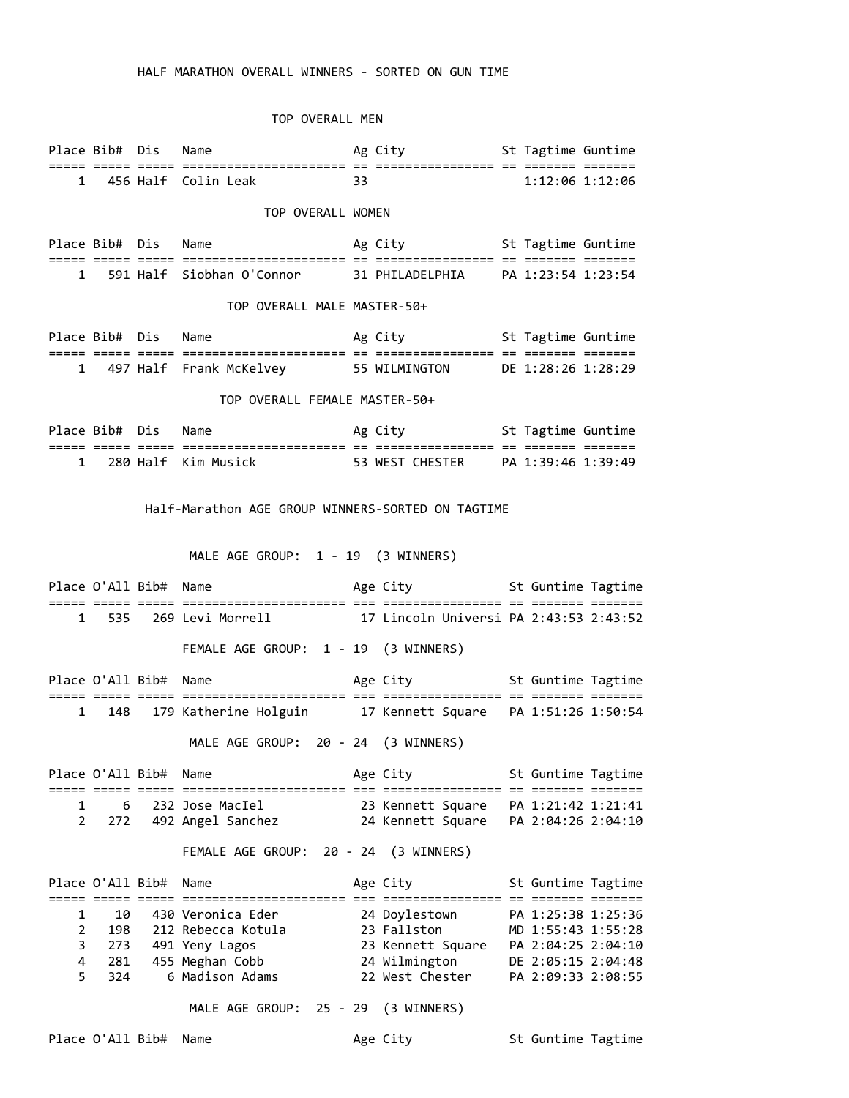## HALF MARATHON OVERALL WINNERS - SORTED ON GUN TIME

### TOP OVERALL MEN

| Place Bib# Dis | Name                  |    | Ag City | St Tagtime Guntime |  |
|----------------|-----------------------|----|---------|--------------------|--|
|                |                       |    |         |                    |  |
|                | 1 456 Half Colin Leak | 33 |         | 1:12:06 1:12:06    |  |

## TOP OVERALL WOMEN

Place Bib# Dis Name **Ag City** St Tagtime Guntime ===== ===== ===== ====================== == ================ == ======= ======= 1 591 Half Siobhan O'Connor 31 PHILADELPHIA PA 1:23:54 1:23:54

#### TOP OVERALL MALE MASTER-50+

| Place Bib# Dis | Name                    | Ag City       | St Tagtime Guntime |  |
|----------------|-------------------------|---------------|--------------------|--|
|                |                         |               |                    |  |
|                | 497 Half Frank McKelvey | 55 WILMINGTON | DE 1:28:26 1:28:29 |  |

## TOP OVERALL FEMALE MASTER-50+

| Place Bib# Dis |  | Name                 | Ag City         | St Tagtime Guntime |  |
|----------------|--|----------------------|-----------------|--------------------|--|
|                |  |                      |                 |                    |  |
|                |  | 280 Half  Kim Musick | 53 WEST CHESTER | PA 1:39:46 1:39:49 |  |

#### Half-Marathon AGE GROUP WINNERS-SORTED ON TAGTIME

# MALE AGE GROUP: 1 - 19 (3 WINNERS)

Place O'All Bib# Name  $\qquad \qquad$  Age City St Guntime Tagtime ===== ===== ===== ====================== === ================ == ======= ======= 1 535 269 Levi Morrell 17 Lincoln Universi PA 2:43:53 2:43:52 FEMALE AGE GROUP: 1 - 19 (3 WINNERS) Place O'All Bib# Name  $\qquad \qquad$  Age City St Guntime Tagtime ===== ===== ===== ====================== === ================ == ======= ======= 1 148 179 Katherine Holguin 17 Kennett Square PA 1:51:26 1:50:54 MALE AGE GROUP: 20 - 24 (3 WINNERS) Place O'All Bib# Name  $\qquad \qquad$  Age City  $\qquad \qquad$  St Guntime Tagtime ===== ===== ===== ====================== === ================ == ======= ======= 1 6 232 Jose MacIel 23 Kennett Square PA 1:21:42 1:21:41 2 272 492 Angel Sanchez 24 Kennett Square PA 2:04:26 2:04:10 FEMALE AGE GROUP: 20 - 24 (3 WINNERS) Place O'All Bib# Name Age City St Guntime Tagtime

| $1$ late $0$ all $0$ lot $\pi$ walle |     |                      | ARE CILY          | <b>SC ONTITIUE TOCCETIC</b> |  |
|--------------------------------------|-----|----------------------|-------------------|-----------------------------|--|
|                                      |     |                      |                   |                             |  |
| $\mathbf{1}$                         | 10  | 430 Veronica Eder    | 24 Doylestown     | PA 1:25:38 1:25:36          |  |
| 2                                    | 198 | 212 Rebecca Kotula   | 23 Fallston       | MD 1:55:43 1:55:28          |  |
|                                      |     | 3 273 491 Yeny Lagos | 23 Kennett Square | PA 2:04:25 2:04:10          |  |
| 4                                    | 281 | 455 Meghan Cobb      | 24 Wilmington     | DE 2:05:15 2:04:48          |  |
| 5.                                   | 324 | 6 Madison Adams      | 22 West Chester   | PA 2:09:33 2:08:55          |  |
|                                      |     |                      |                   |                             |  |

MALE AGE GROUP: 25 - 29 (3 WINNERS)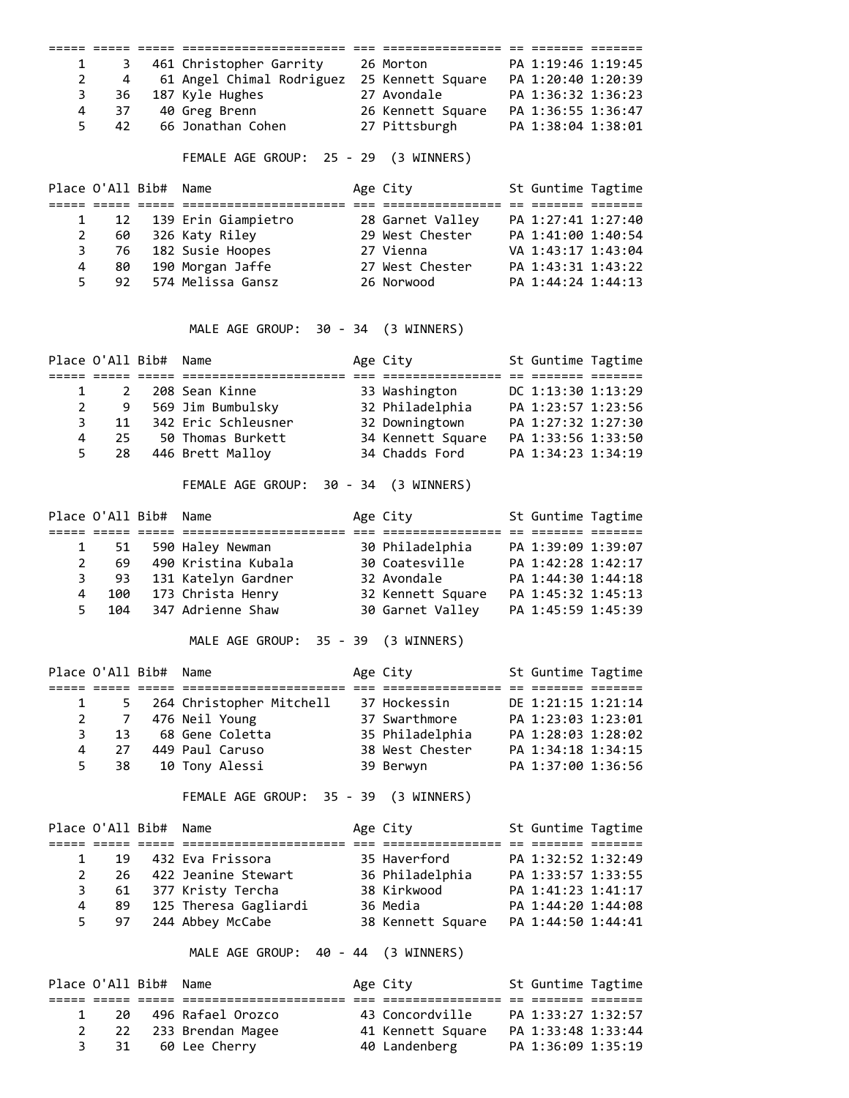| 1              | 3                      |                       | 461 Christopher Garrity 26 Morton                                                                                                           |                                    | PA 1:19:46 1:19:45 |  |
|----------------|------------------------|-----------------------|---------------------------------------------------------------------------------------------------------------------------------------------|------------------------------------|--------------------|--|
| $\overline{2}$ | 4                      |                       | 61 Angel Chimal Rodriguez 25 Kennett Square PA 1:20:40 1:20:39                                                                              |                                    |                    |  |
| 3              |                        |                       | 36 187 Kyle Hughes                                                                                                                          | 27 Avondale PA 1:36:32 1:36:23     |                    |  |
| $\overline{4}$ | 37                     |                       | 40 Greg Brenn 26 Kennett Square PA 1:36:55 1:36:47                                                                                          |                                    |                    |  |
| 5              | 42                     |                       | 66 Jonathan Cohen                                                                                                                           | 27 Pittsburgh                      | PA 1:38:04 1:38:01 |  |
|                |                        |                       | FEMALE AGE GROUP: 25 - 29 (3 WINNERS)                                                                                                       |                                    |                    |  |
|                |                        | Place O'All Bib#      | Name                                                                                                                                        | Age City                           | St Guntime Tagtime |  |
| 1              | 12                     |                       | 139 Erin Giampietro           28 Garnet Valley                                                                                              |                                    | PA 1:27:41 1:27:40 |  |
| $\overline{2}$ |                        |                       | 60 326 Katy Riley 29 West Chester                                                                                                           |                                    | PA 1:41:00 1:40:54 |  |
| 3              |                        |                       |                                                                                                                                             |                                    |                    |  |
| 4              |                        |                       | 76 182 Susie Hoopes 27 Vienna VA 1:43:17 1:43:04<br>80 190 Morgan Jaffe 27 West Chester PA 1:43:31 1:43:22<br>26 Norwood PA 1:44:24 1:44:13 |                                    |                    |  |
| 5              |                        |                       | 92 574 Melissa Gansz                                                                                                                        | 26 Norwood                         | PA 1:44:24 1:44:13 |  |
|                |                        |                       |                                                                                                                                             |                                    |                    |  |
|                |                        |                       | MALE AGE GROUP: 30 - 34 (3 WINNERS)                                                                                                         |                                    |                    |  |
|                |                        | Place O'All Bib# Name |                                                                                                                                             | Age City                           | St Guntime Tagtime |  |
|                | $\mathbf{1}$           |                       |                                                                                                                                             |                                    |                    |  |
| $\overline{2}$ |                        |                       |                                                                                                                                             |                                    |                    |  |
|                | $\overline{3}$<br>11   |                       |                                                                                                                                             |                                    |                    |  |
| 4              | 25                     |                       | 50 Thomas Burkett 34 Kennett Square PA 1:33:56 1:33:50                                                                                      |                                    |                    |  |
| 5              | 28                     |                       | 446 Brett Malloy 34 Chadds Ford                                                                                                             |                                    | PA 1:34:23 1:34:19 |  |
|                |                        |                       |                                                                                                                                             |                                    |                    |  |
|                |                        |                       | FEMALE AGE GROUP: 30 - 34 (3 WINNERS)                                                                                                       |                                    |                    |  |
|                |                        | Place O'All Bib# Name |                                                                                                                                             | Age City <b>St Guntime Tagtime</b> |                    |  |
|                |                        |                       |                                                                                                                                             |                                    |                    |  |
|                | $1 \quad \blacksquare$ |                       | 51 590 Haley Newman 30 Philadelphia PA 1:39:09 1:39:07<br>69 490 Kristina Kubala 30 Coatesville PA 1:42:28 1:42:17                          |                                    |                    |  |
|                | $2^{\sim}$             |                       |                                                                                                                                             |                                    |                    |  |
|                |                        |                       | 3 93 131 Katelyn Gardner 32 Avondale                                                                                                        |                                    | PA 1:44:30 1:44:18 |  |
| 4              |                        |                       | 100 173 Christa Henry 32 Kennett Square PA 1:45:32 1:45:13                                                                                  |                                    |                    |  |
| 5              | 104                    |                       | 347 Adrienne Shaw 30 Garnet Valley                                                                                                          |                                    | PA 1:45:59 1:45:39 |  |
|                |                        |                       | MALE AGE GROUP: 35 - 39 (3 WINNERS)                                                                                                         |                                    |                    |  |
|                |                        | Place O'All Bib# Name |                                                                                                                                             | Age City                           | St Guntime Tagtime |  |
| 1              | 5.                     |                       | 264 Christopher Mitchell 37 Hockessin                                                                                                       |                                    | DE 1:21:15 1:21:14 |  |
| 2              | 7                      |                       | 476 Neil Young                                                                                                                              | 37 Swarthmore                      | PA 1:23:03 1:23:01 |  |
| 3              | 13                     |                       | 68 Gene Coletta                                                                                                                             | 35 Philadelphia                    | PA 1:28:03 1:28:02 |  |
| 4              | 27                     |                       | 449 Paul Caruso                                                                                                                             | 38 West Chester                    | PA 1:34:18 1:34:15 |  |
| 5              | 38                     |                       | 10 Tony Alessi                                                                                                                              | 39 Berwyn                          | PA 1:37:00 1:36:56 |  |
|                |                        |                       | FEMALE AGE GROUP: 35 - 39 (3 WINNERS)                                                                                                       |                                    |                    |  |
|                |                        | Place O'All Bib#      | Name                                                                                                                                        | Age City                           | St Guntime Tagtime |  |
| 1              | 19                     |                       | 432 Eva Frissora                                                                                                                            | 35 Haverford                       | PA 1:32:52 1:32:49 |  |
| $\overline{2}$ | 26                     |                       | 422 Jeanine Stewart                                                                                                                         | 36 Philadelphia                    | PA 1:33:57 1:33:55 |  |
| 3              |                        |                       | 61 377 Kristy Tercha                                                                                                                        | 38 Kirkwood                        | PA 1:41:23 1:41:17 |  |
| 4              | 89                     |                       | 125 Theresa Gagliardi                                                                                                                       | 36 Media                           | PA 1:44:20 1:44:08 |  |
| 5              | 97                     |                       | 244 Abbey McCabe                                                                                                                            |                                    |                    |  |
|                |                        |                       | MALE AGE GROUP: 40 - 44 (3 WINNERS)                                                                                                         |                                    |                    |  |
|                | Place O'All Bib#       |                       | Name                                                                                                                                        | Age City                           | St Guntime Tagtime |  |
| 1              | 20                     |                       | 496 Rafael Orozco                                                                                                                           | 43 Concordville                    | PA 1:33:27 1:32:57 |  |
| 2              |                        |                       |                                                                                                                                             |                                    |                    |  |
|                | 22                     |                       | 233 Brendan Magee                                                                                                                           | 40 Landenberg                      |                    |  |
| 3              | 31                     |                       | 60 Lee Cherry                                                                                                                               |                                    | PA 1:36:09 1:35:19 |  |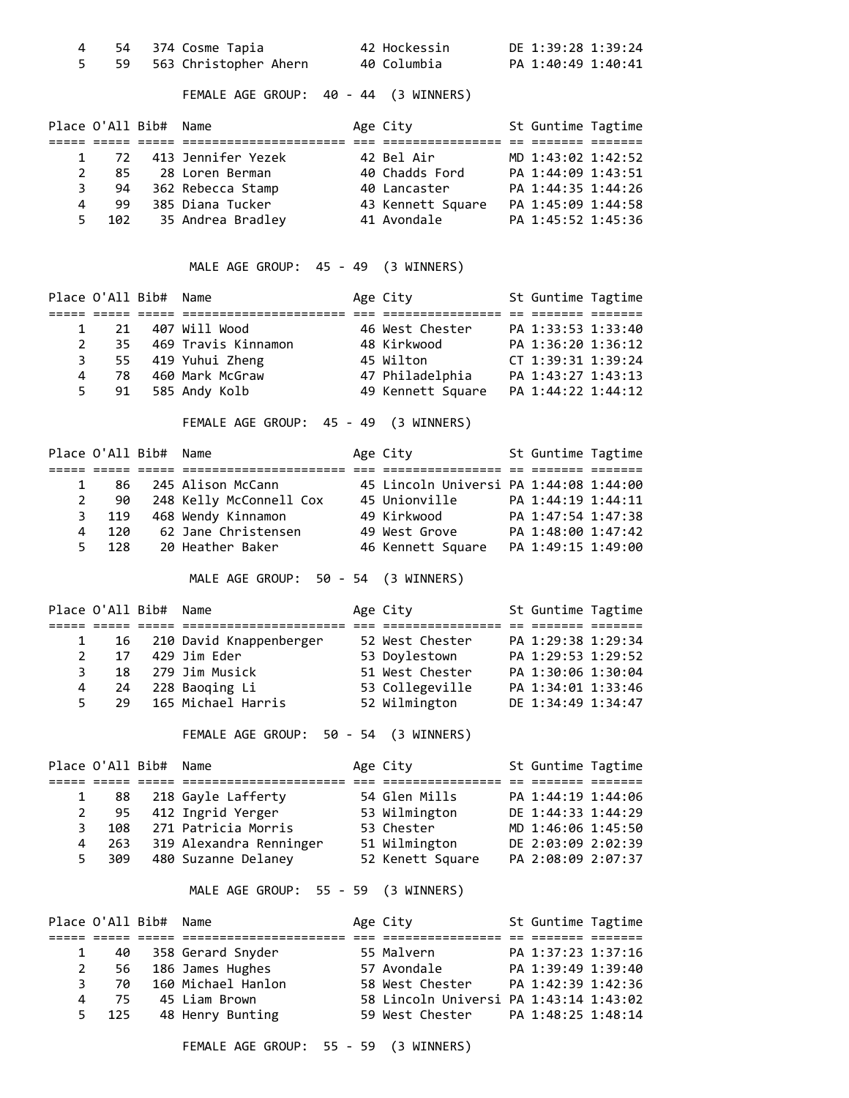|  | 54 374 Cosme Tapia       | 42 Hockessin | DE 1:39:28 1:39:24 |
|--|--------------------------|--------------|--------------------|
|  | 59 563 Christopher Ahern | 40 Columbia  | PA 1:40:49 1:40:41 |

FEMALE AGE GROUP: 40 - 44 (3 WINNERS)

|    | Place O'All Bib# Name |                    | Age City          | St Guntime Tagtime |  |
|----|-----------------------|--------------------|-------------------|--------------------|--|
|    |                       |                    |                   |                    |  |
|    | 1 72                  | 413 Jennifer Yezek | 42 Bel Air        | MD 1:43:02 1:42:52 |  |
| 2  | 85                    | 28 Loren Berman    | 40 Chadds Ford    | PA 1:44:09 1:43:51 |  |
|    | 94                    | 362 Rebecca Stamp  | 40 Lancaster      | PA 1:44:35 1:44:26 |  |
| 4  | -99                   | 385 Diana Tucker   | 43 Kennett Square | PA 1:45:09 1:44:58 |  |
| 5. | 102                   | 35 Andrea Bradley  | 41 Avondale       | PA 1:45:52 1:45:36 |  |

MALE AGE GROUP: 45 - 49 (3 WINNERS)

|    | Place O'All Bib# Name |                     | Age City          | St Guntime Tagtime |  |
|----|-----------------------|---------------------|-------------------|--------------------|--|
|    |                       |                     |                   |                    |  |
|    | 21                    | 407 Will Wood       | 46 West Chester   | PA 1:33:53 1:33:40 |  |
|    | 35.                   | 469 Travis Kinnamon | 48 Kirkwood       | PA 1:36:20 1:36:12 |  |
|    | 3                     | 55 419 Yuhui Zheng  | 45 Wilton         | CT 1:39:31 1:39:24 |  |
| 4  | -78                   | 460 Mark McGraw     | 47 Philadelphia   | PA 1:43:27 1:43:13 |  |
| 5. | 91                    | 585 Andy Kolb       | 49 Kennett Square | PA 1:44:22 1:44:12 |  |

FEMALE AGE GROUP: 45 - 49 (3 WINNERS)

|              | Place O'All Bib# Name |                         | Age City                               | St Guntime Tagtime |  |
|--------------|-----------------------|-------------------------|----------------------------------------|--------------------|--|
|              |                       |                         |                                        |                    |  |
| $\mathbf{1}$ | 86                    | 245 Alison McCann       | 45 Lincoln Universi PA 1:44:08 1:44:00 |                    |  |
| $2^{\circ}$  | 90                    | 248 Kelly McConnell Cox | 45 Unionville                          | PA 1:44:19 1:44:11 |  |
|              | 3 119                 | 468 Wendy Kinnamon      | 49 Kirkwood                            | PA 1:47:54 1:47:38 |  |
| 4            | 12A                   | 62 Jane Christensen     | 49 West Grove                          | PA 1:48:00 1:47:42 |  |
| 5.           | 128                   | 20 Heather Baker        | 46 Kennett Square                      | PA 1:49:15 1:49:00 |  |

MALE AGE GROUP: 50 - 54 (3 WINNERS)

|    | Place O'All Bib# Name |                              | Age City        | St Guntime Tagtime |  |
|----|-----------------------|------------------------------|-----------------|--------------------|--|
|    |                       |                              |                 |                    |  |
|    |                       | 1 16 210 David Knappenberger | 52 West Chester | PA 1:29:38 1:29:34 |  |
| 2  | 17                    | 429 Jim Eder                 | 53 Doylestown   | PA 1:29:53 1:29:52 |  |
| 3  |                       | 18 279 Jim Musick            | 51 West Chester | PA 1:30:06 1:30:04 |  |
| 4  | -24                   | 228 Baoqing Li               | 53 Collegeville | PA 1:34:01 1:33:46 |  |
| 5. |                       | 29 165 Michael Harris        | 52 Wilmington   | DE 1:34:49 1:34:47 |  |

FEMALE AGE GROUP: 50 - 54 (3 WINNERS)

| Place O'All Bib# Name |     |                         | Age City         | St Guntime Tagtime |  |
|-----------------------|-----|-------------------------|------------------|--------------------|--|
|                       |     |                         |                  |                    |  |
|                       |     | 1 88 218 Gayle Lafferty | 54 Glen Mills    | PA 1:44:19 1:44:06 |  |
|                       |     | 2 95 412 Ingrid Yerger  | 53 Wilmington    | DE 1:44:33 1:44:29 |  |
| 3                     | 108 | 271 Patricia Morris     | 53 Chester       | MD 1:46:06 1:45:50 |  |
| 4                     | 263 | 319 Alexandra Renninger | 51 Wilmington    | DE 2:03:09 2:02:39 |  |
| 5.                    | 309 | 480 Suzanne Delaney     | 52 Kenett Square | PA 2:08:09 2:07:37 |  |

MALE AGE GROUP: 55 - 59 (3 WINNERS)

| Place O'All Bib# Name |              |                       | Age City                               | St Guntime Tagtime |  |
|-----------------------|--------------|-----------------------|----------------------------------------|--------------------|--|
|                       |              |                       |                                        |                    |  |
|                       | $\mathbf{1}$ | 40 358 Gerard Snyder  | 55 Malvern                             | PA 1:37:23 1:37:16 |  |
|                       |              | 2 56 186 James Hughes | 57 Avondale                            | PA 1:39:49 1:39:40 |  |
| 3                     | 70           | 160 Michael Hanlon    | 58 West Chester                        | PA 1:42:39 1:42:36 |  |
| 4                     | -75          | 45 Liam Brown         | 58 Lincoln Universi PA 1:43:14 1:43:02 |                    |  |
|                       | 5 125        | 48 Henry Bunting      | 59 West Chester PA 1:48:25 1:48:14     |                    |  |

FEMALE AGE GROUP: 55 - 59 (3 WINNERS)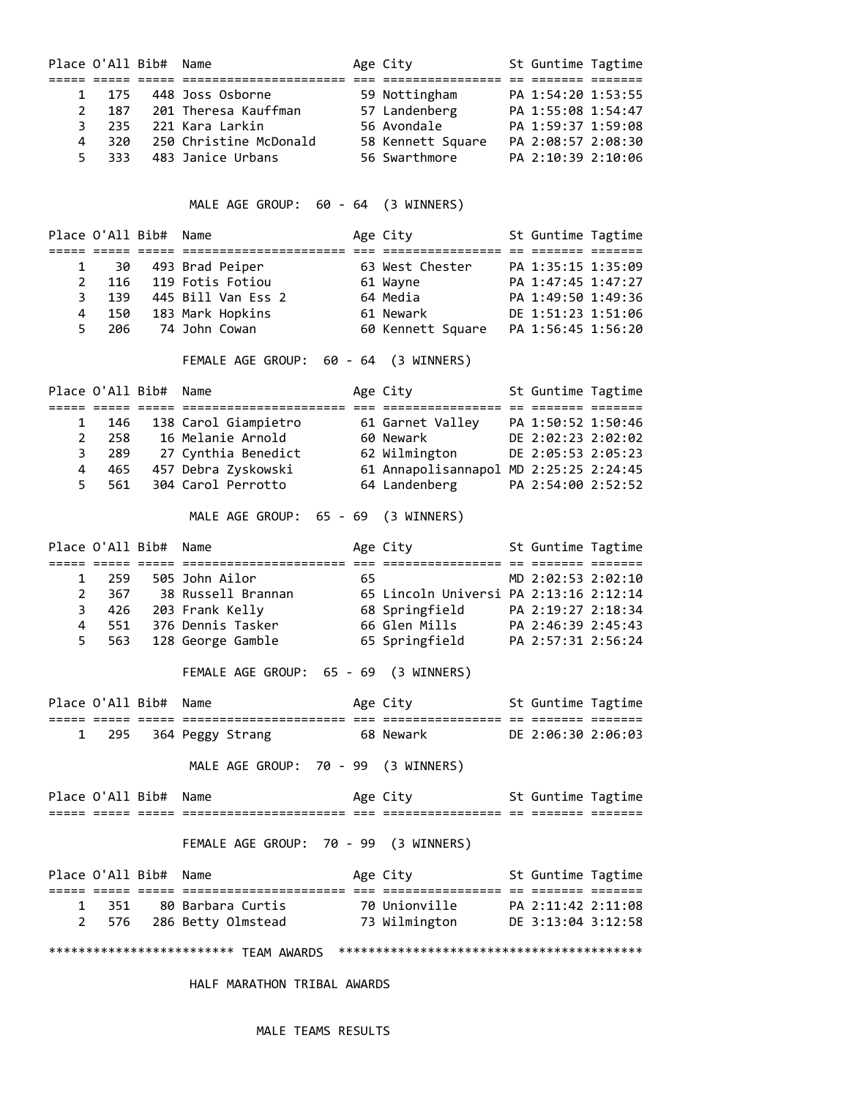|                       | Place O'All Bib# Name |                                                                                                                                                                                                                             |    | Age City                                     | St Guntime Tagtime |  |
|-----------------------|-----------------------|-----------------------------------------------------------------------------------------------------------------------------------------------------------------------------------------------------------------------------|----|----------------------------------------------|--------------------|--|
|                       | 175<br>$1 \quad$      | 448 Joss Osborne                                                                                                                                                                                                            |    | 59 Nottingham PA 1:54:20 1:53:55             |                    |  |
| $\overline{2}$        |                       | 187 201 Theresa Kauffman 57 Landenberg PA 1:55:08 1:54:47                                                                                                                                                                   |    |                                              |                    |  |
| 3                     |                       | 235 221 Kara Larkin                                                                                                                                                                                                         |    |                                              |                    |  |
| 4                     | 320                   | 250 Christine McDonald 58 Kennett Square PA 2:08:57 2:08:30                                                                                                                                                                 |    |                                              |                    |  |
| 5                     | 333                   | 483 Janice Urbans                                                                                                                                                                                                           |    | 56 Swarthmore                                | PA 2:10:39 2:10:06 |  |
|                       |                       | MALE AGE GROUP: 60 - 64 (3 WINNERS)                                                                                                                                                                                         |    |                                              |                    |  |
|                       | Place O'All Bib# Name |                                                                                                                                                                                                                             |    | Age City                                     | St Guntime Tagtime |  |
|                       |                       |                                                                                                                                                                                                                             |    |                                              |                    |  |
|                       | $1 \quad \Box$<br>30  | 493 Brad Peiper                                                                                                                                                                                                             |    | 63 West Chester                              | PA 1:35:15 1:35:09 |  |
| $\mathbf{2}$          | 116                   | 119 Fotis Fotiou                                                                                                                                                                                                            |    | 61 Wayne <b>Sandar Adam Adam Adam Adam A</b> | PA 1:47:45 1:47:27 |  |
| 3                     | 139                   | 445 Bill Van Ess 2                                                                                                                                                                                                          |    | 64 Media                                     | PA 1:49:50 1:49:36 |  |
| $\overline{4}$        | 150                   | 183 Mark Hopkins                                                                                                                                                                                                            |    | 61 Newark                                    | DE 1:51:23 1:51:06 |  |
| 5                     | 206                   | 74 John Cowan                                                                                                                                                                                                               |    |                                              |                    |  |
|                       |                       | FEMALE AGE GROUP: 60 - 64 (3 WINNERS)                                                                                                                                                                                       |    |                                              |                    |  |
|                       | Place O'All Bib#      | Name                                                                                                                                                                                                                        |    | Age City                                     | St Guntime Tagtime |  |
| $\mathbf{1}$          | 146                   | 138 Carol Giampietro 61 Garnet Valley PA 1:50:52 1:50:46                                                                                                                                                                    |    |                                              |                    |  |
| $\mathbf{2}^{\prime}$ | 258                   |                                                                                                                                                                                                                             |    |                                              |                    |  |
| 3                     | 289                   |                                                                                                                                                                                                                             |    |                                              |                    |  |
| 4                     | 465                   |                                                                                                                                                                                                                             |    |                                              |                    |  |
| 5                     | 561                   | 16 Melanie Arnold 60 Newark DE 2:02:23 2:02:02<br>27 Cynthia Benedict 62 Wilmington DE 2:05:53 2:05:23<br>457 Debra Zyskowski 61 Annapolisannapol MD 2:25:25 2:24:45<br>304 Carol Perrotto 64 Landenberg PA 2:54:00 2:52:52 |    | 64 Landenberg                                |                    |  |
|                       |                       | MALE AGE GROUP: 65 - 69 (3 WINNERS)                                                                                                                                                                                         |    |                                              |                    |  |
|                       | Place O'All Bib# Name |                                                                                                                                                                                                                             |    | Age City 5t Guntime Tagtime                  |                    |  |
|                       | $1 \quad$             | 259 505 John Ailor                                                                                                                                                                                                          | 65 |                                              | MD 2:02:53 2:02:10 |  |
| $\overline{2}$        |                       | $367$ $38$ Russell Brannan                                                                                                                                                                                                  |    | 65 Lincoln Universi PA 2:13:16 2:12:14       |                    |  |
| 3                     |                       | 426 203 Frank Kelly                                                                                                                                                                                                         |    |                                              |                    |  |
| 4                     | 551                   | 376 Dennis Tasker                                                                                                                                                                                                           |    | 66 Glen Mills                                | PA 2:46:39 2:45:43 |  |
| 5                     | 563                   | 128 George Gamble                                                                                                                                                                                                           |    | 65 Springfield                               | PA 2:57:31 2:56:24 |  |
|                       |                       | FEMALE AGE GROUP:<br>65 - 69                                                                                                                                                                                                |    | (3 WINNERS)                                  |                    |  |
|                       | Place O'All Bib# Name |                                                                                                                                                                                                                             |    | Age City <b>St Guntime Tagtime</b>           |                    |  |
|                       |                       | 1 295 364 Peggy Strang 68 Newark DE 2:06:30 2:06:03                                                                                                                                                                         |    |                                              |                    |  |
|                       |                       |                                                                                                                                                                                                                             |    |                                              |                    |  |
|                       |                       | MALE AGE GROUP: 70 - 99 (3 WINNERS)                                                                                                                                                                                         |    |                                              |                    |  |
|                       | Place O'All Bib# Name |                                                                                                                                                                                                                             |    | Age City <b>St Guntime Tagtime</b>           |                    |  |
|                       |                       | FEMALE AGE GROUP: 70 - 99 (3 WINNERS)                                                                                                                                                                                       |    |                                              |                    |  |
|                       | Place O'All Bib# Name |                                                                                                                                                                                                                             |    | Age City <b>St Guntime Tagtime</b>           |                    |  |
|                       |                       |                                                                                                                                                                                                                             |    |                                              |                    |  |
| 1                     |                       | 351 80 Barbara Curtis 70 Unionville PA 2:11:42 2:11:08                                                                                                                                                                      |    |                                              |                    |  |
| 2                     |                       | 576 286 Betty Olmstead 73 Wilmington DE 3:13:04 3:12:58                                                                                                                                                                     |    |                                              |                    |  |
|                       |                       |                                                                                                                                                                                                                             |    |                                              |                    |  |

HALF MARATHON TRIBAL AWARDS